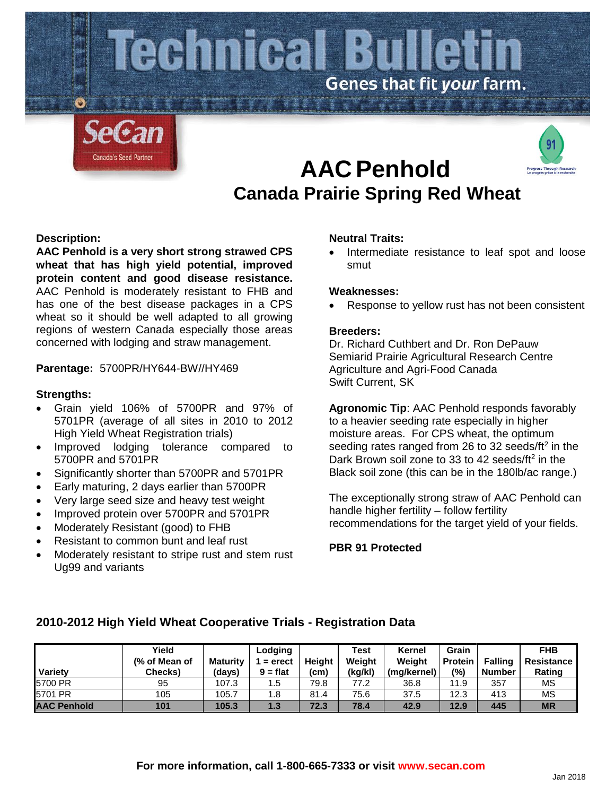

# **AACPenhold Canada Prairie Spring Red Wheat**



# **Description:**

**AAC Penhold is a very short strong strawed CPS wheat that has high yield potential, improved protein content and good disease resistance.**  AAC Penhold is moderately resistant to FHB and has one of the best disease packages in a CPS wheat so it should be well adapted to all growing regions of western Canada especially those areas concerned with lodging and straw management.

### **Parentage:** 5700PR/HY644-BW//HY469

### **Strengths:**

- Grain yield 106% of 5700PR and 97% of 5701PR (average of all sites in 2010 to 2012 High Yield Wheat Registration trials)
- Improved lodging tolerance compared to 5700PR and 5701PR
- Significantly shorter than 5700PR and 5701PR
- Early maturing, 2 days earlier than 5700PR
- Very large seed size and heavy test weight
- Improved protein over 5700PR and 5701PR
- Moderately Resistant (good) to FHB
- Resistant to common bunt and leaf rust
- Moderately resistant to stripe rust and stem rust Ug99 and variants

### **Neutral Traits:**

Intermediate resistance to leaf spot and loose smut

#### **Weaknesses:**

Response to yellow rust has not been consistent

### **Breeders:**

Dr. Richard Cuthbert and Dr. Ron DePauw Semiarid Prairie Agricultural Research Centre Agriculture and Agri-Food Canada Swift Current, SK

**Agronomic Tip**: AAC Penhold responds favorably to a heavier seeding rate especially in higher moisture areas. For CPS wheat, the optimum seeding rates ranged from 26 to 32 seeds/ft<sup>2</sup> in the Dark Brown soil zone to 33 to 42 seeds/ $ft<sup>2</sup>$  in the Black soil zone (this can be in the 180lb/ac range.)

The exceptionally strong straw of AAC Penhold can handle higher fertility – follow fertility recommendations for the target yield of your fields.

**PBR 91 Protected**

| Variety            | Yield<br>(% of Mean of<br>Checks) | Maturity<br>(days) | Lodging<br>$=$ erect<br>$9 = flat$ | <b>Height</b><br>(cm) | <b>Test</b><br>Weight<br>(kg/kl) | Kernel<br>Weight<br>(ma/kernel) | Grain<br><b>Protein</b><br>(%) | <b>Falling</b><br><b>Number</b> | <b>FHB</b><br>Resistance<br>Rating |
|--------------------|-----------------------------------|--------------------|------------------------------------|-----------------------|----------------------------------|---------------------------------|--------------------------------|---------------------------------|------------------------------------|
| 5700 PR            | 95                                | 107.3              | 5.،                                | 79.8                  | 77.2                             | 36.8                            | 11.9                           | 357                             | MS                                 |
| 5701 PR            | 105                               | 105.7              | 8.،                                | 81.4                  | 75.6                             | 37.5                            | 12.3                           | 413                             | MS                                 |
| <b>AAC Penhold</b> | 101                               | 105.3              | 1.3                                | 72.3                  | 78.4                             | 42.9                            | 12.9                           | 445                             | <b>MR</b>                          |

# **2010-2012 High Yield Wheat Cooperative Trials - Registration Data**